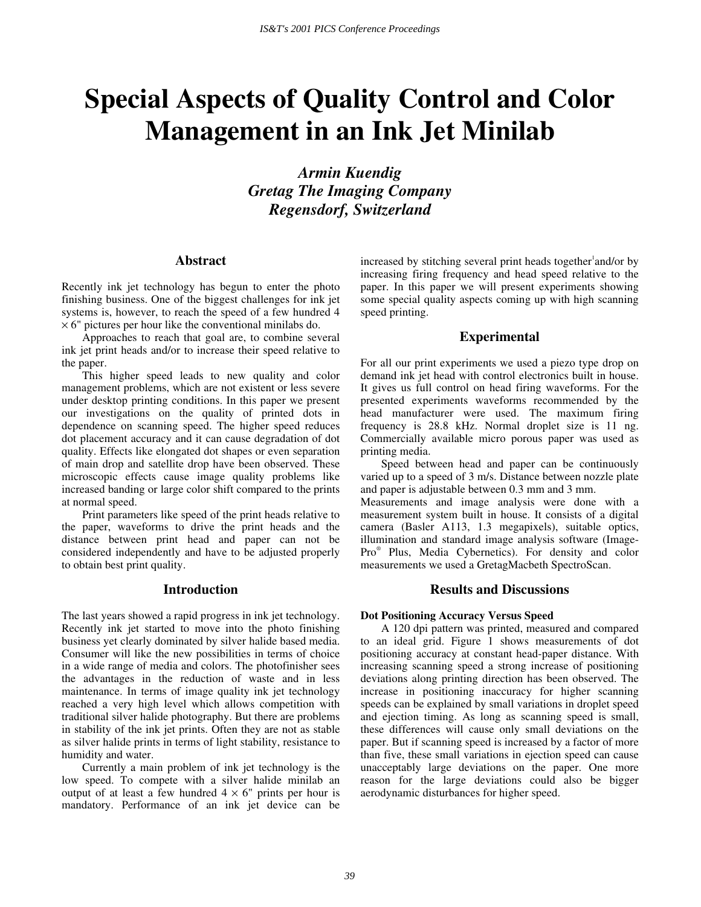# **Special Aspects of Quality Control and Color Management in an Ink Jet Minilab**

*Armin Kuendig Gretag The Imaging Company Regensdorf, Switzerland* 

# **Abstract**

Recently ink jet technology has begun to enter the photo finishing business. One of the biggest challenges for ink jet systems is, however, to reach the speed of a few hundred 4  $\times$  6" pictures per hour like the conventional minilabs do.

Approaches to reach that goal are, to combine several ink jet print heads and/or to increase their speed relative to the paper.

This higher speed leads to new quality and color management problems, which are not existent or less severe under desktop printing conditions. In this paper we present our investigations on the quality of printed dots in dependence on scanning speed. The higher speed reduces dot placement accuracy and it can cause degradation of dot quality. Effects like elongated dot shapes or even separation of main drop and satellite drop have been observed. These microscopic effects cause image quality problems like increased banding or large color shift compared to the prints at normal speed.

Print parameters like speed of the print heads relative to the paper, waveforms to drive the print heads and the distance between print head and paper can not be considered independently and have to be adjusted properly to obtain best print quality.

# **Introduction**

The last years showed a rapid progress in ink jet technology. Recently ink jet started to move into the photo finishing business yet clearly dominated by silver halide based media. Consumer will like the new possibilities in terms of choice in a wide range of media and colors. The photofinisher sees the advantages in the reduction of waste and in less maintenance. In terms of image quality ink jet technology reached a very high level which allows competition with traditional silver halide photography. But there are problems in stability of the ink jet prints. Often they are not as stable as silver halide prints in terms of light stability, resistance to humidity and water.

Currently a main problem of ink jet technology is the low speed. To compete with a silver halide minilab an output of at least a few hundred  $4 \times 6$ " prints per hour is mandatory. Performance of an ink jet device can be

increased by stitching several print heads together and/or by increasing firing frequency and head speed relative to the paper. In this paper we will present experiments showing some special quality aspects coming up with high scanning speed printing.

# **Experimental**

For all our print experiments we used a piezo type drop on demand ink jet head with control electronics built in house. It gives us full control on head firing waveforms. For the presented experiments waveforms recommended by the head manufacturer were used. The maximum firing frequency is 28.8 kHz. Normal droplet size is 11 ng. Commercially available micro porous paper was used as printing media.

Speed between head and paper can be continuously varied up to a speed of 3 m/s. Distance between nozzle plate and paper is adjustable between 0.3 mm and 3 mm.

Measurements and image analysis were done with a measurement system built in house. It consists of a digital camera (Basler A113, 1.3 megapixels), suitable optics, illumination and standard image analysis software (Image-Pro® Plus, Media Cybernetics). For density and color measurements we used a GretagMacbeth SpectroScan.

# **Results and Discussions**

# **Dot Positioning Accuracy Versus Speed**

A 120 dpi pattern was printed, measured and compared to an ideal grid. Figure 1 shows measurements of dot positioning accuracy at constant head-paper distance. With increasing scanning speed a strong increase of positioning deviations along printing direction has been observed. The increase in positioning inaccuracy for higher scanning speeds can be explained by small variations in droplet speed and ejection timing. As long as scanning speed is small, these differences will cause only small deviations on the paper. But if scanning speed is increased by a factor of more than five, these small variations in ejection speed can cause unacceptably large deviations on the paper. One more reason for the large deviations could also be bigger aerodynamic disturbances for higher speed.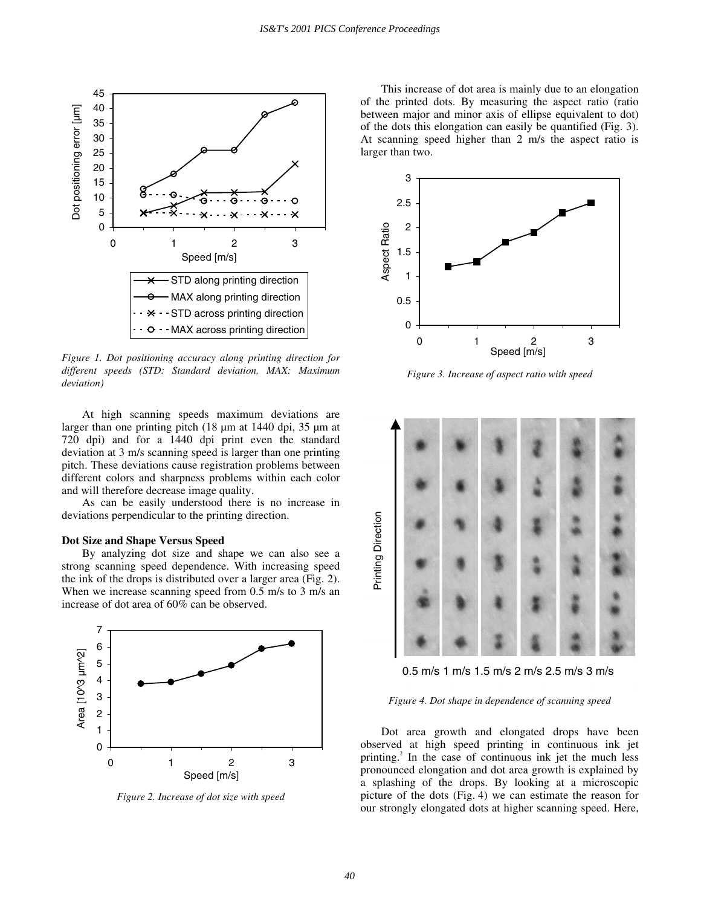

*Figure 1. Dot positioning accuracy along printing direction for different speeds (STD: Standard deviation, MAX: Maximum deviation)* 

At high scanning speeds maximum deviations are larger than one printing pitch (18 µm at 1440 dpi, 35 µm at 720 dpi) and for a 1440 dpi print even the standard deviation at 3 m/s scanning speed is larger than one printing pitch. These deviations cause registration problems between different colors and sharpness problems within each color and will therefore decrease image quality.

As can be easily understood there is no increase in deviations perpendicular to the printing direction.

#### **Dot Size and Shape Versus Speed**

By analyzing dot size and shape we can also see a strong scanning speed dependence. With increasing speed the ink of the drops is distributed over a larger area (Fig. 2). When we increase scanning speed from 0.5 m/s to 3 m/s an increase of dot area of 60% can be observed.



*Figure 2. Increase of dot size with speed* 

This increase of dot area is mainly due to an elongation of the printed dots. By measuring the aspect ratio (ratio between major and minor axis of ellipse equivalent to dot) of the dots this elongation can easily be quantified (Fig. 3). At scanning speed higher than 2 m/s the aspect ratio is larger than two.



*Figure 3. Increase of aspect ratio with speed* 



0.5 m/s 1 m/s 1.5 m/s 2 m/s 2.5 m/s 3 m/s

#### *Figure 4. Dot shape in dependence of scanning speed*

Dot area growth and elongated drops have been observed at high speed printing in continuous ink jet printing.<sup>2</sup> In the case of continuous ink jet the much less pronounced elongation and dot area growth is explained by a splashing of the drops. By looking at a microscopic picture of the dots (Fig. 4) we can estimate the reason for